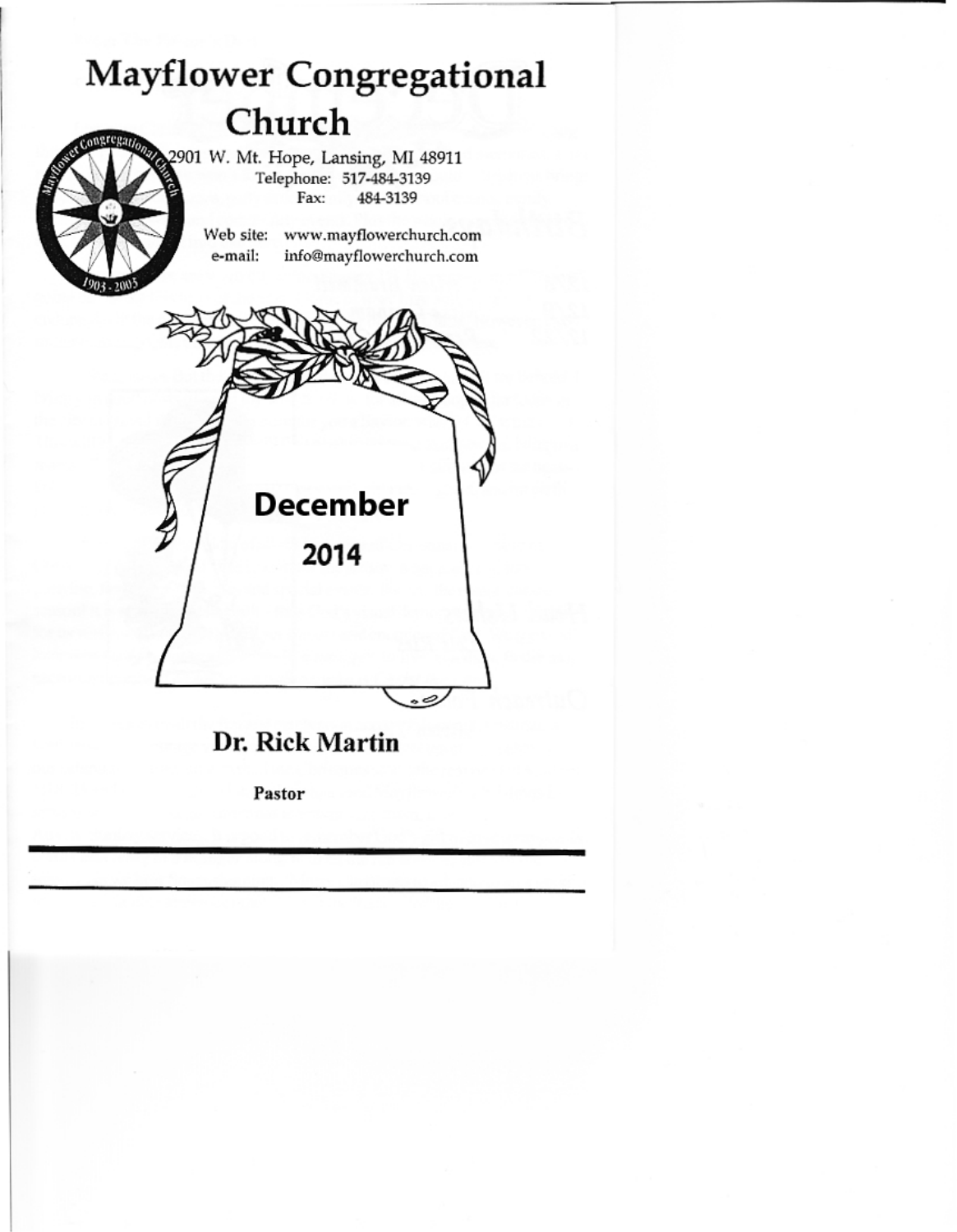# **Mayflower Congregational** Church

2901 W. Mt. Hope, Lansing, MI 48911 Telephone: 517-484-3139 Fax: 484-3139

> Web site: www.mayflowerchurch.com e-mail: info@mayflowerchurch.com



# Dr. Rick Martin

Pastor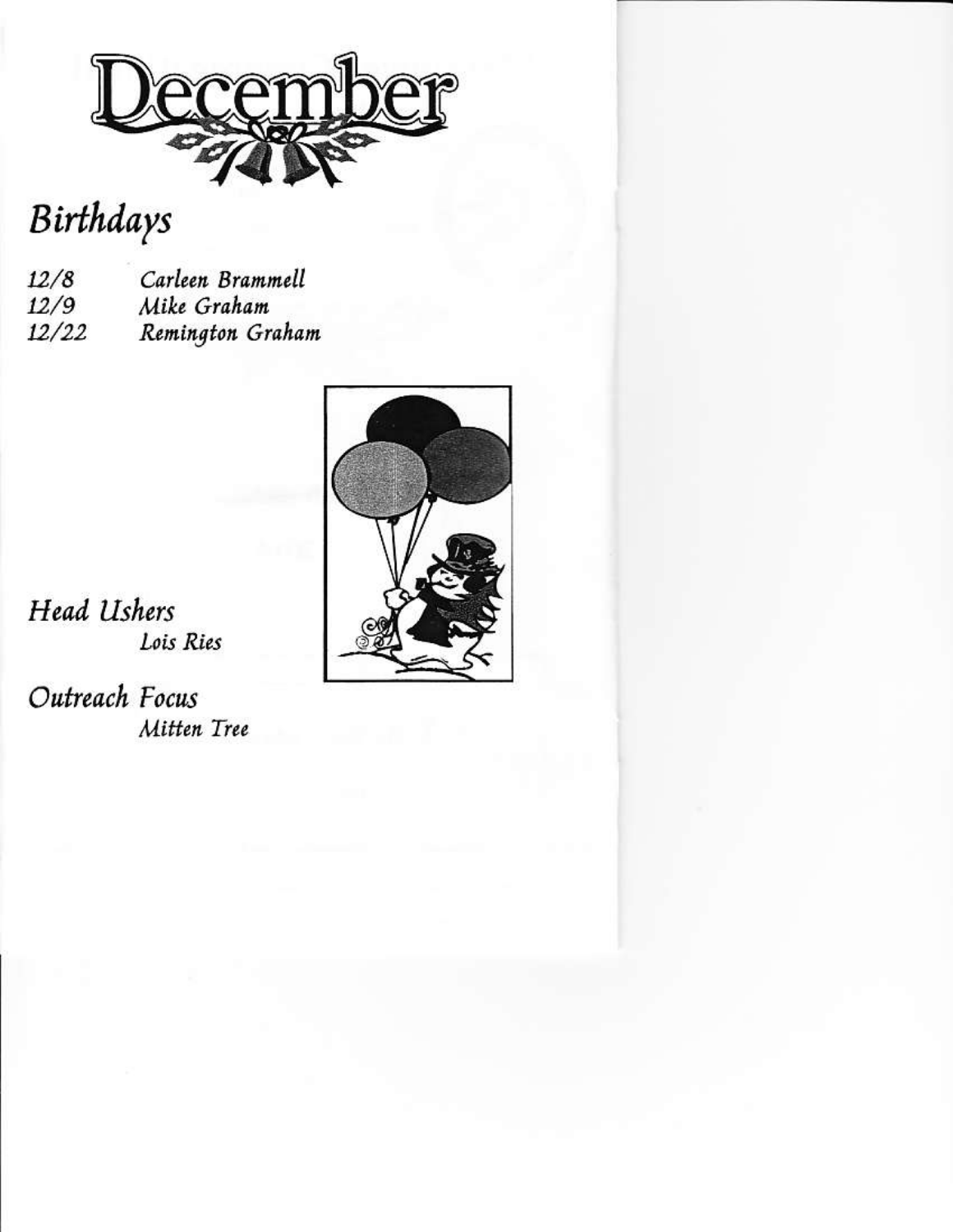

Birthdays

Carleen Brammell  $12/8$  $12/9$ Mike Graham Remington Graham  $12/22$ 



**Head Ushers** Lois Ries

Outreach Focus Mitten Tree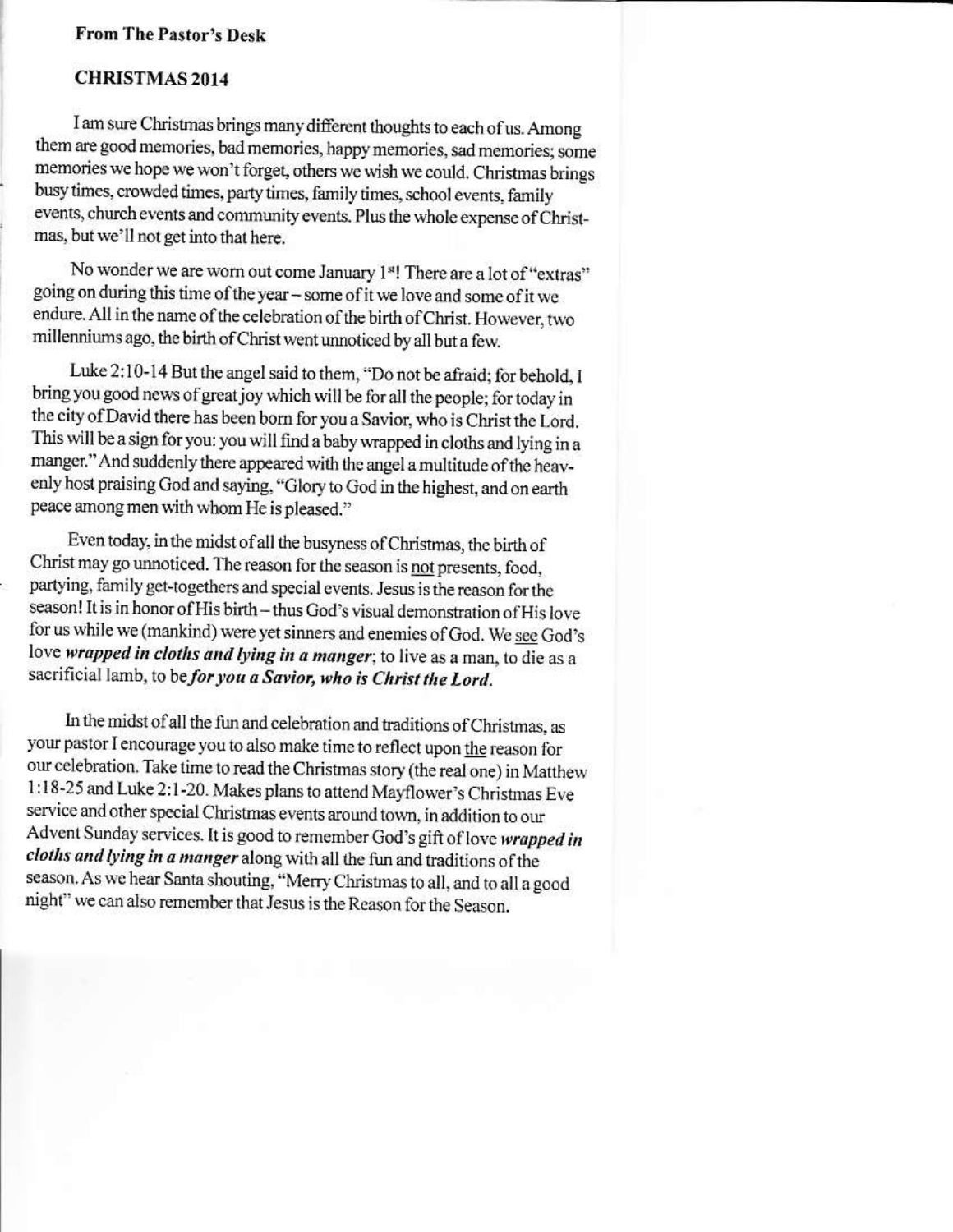# **From The Pastor's Desk**

# **CHRISTMAS 2014**

I am sure Christmas brings many different thoughts to each of us. Among them are good memories, bad memories, happy memories, sad memories; some memories we hope we won't forget, others we wish we could. Christmas brings busy times, crowded times, party times, family times, school events, family events, church events and community events. Plus the whole expense of Christmas, but we'll not get into that here.

No wonder we are worn out come January 1s! There are a lot of "extras" going on during this time of the year - some of it we love and some of it we endure. All in the name of the celebration of the birth of Christ. However, two millenniums ago, the birth of Christ went unnoticed by all but a few.

Luke 2:10-14 But the angel said to them, "Do not be afraid; for behold, I bring you good news of great joy which will be for all the people; for today in the city of David there has been born for you a Savior, who is Christ the Lord. This will be a sign for you: you will find a baby wrapped in cloths and lying in a manger." And suddenly there appeared with the angel a multitude of the heavenly host praising God and saying, "Glory to God in the highest, and on earth peace among men with whom He is pleased."

Even today, in the midst of all the busyness of Christmas, the birth of Christ may go unnoticed. The reason for the season is not presents, food, partying, family get-togethers and special events. Jesus is the reason for the season! It is in honor of His birth - thus God's visual demonstration of His love for us while we (mankind) were yet sinners and enemies of God. We see God's love wrapped in cloths and lying in a manger; to live as a man, to die as a sacrificial lamb, to be for you a Savior, who is Christ the Lord.

In the midst of all the fun and celebration and traditions of Christmas, as your pastor I encourage you to also make time to reflect upon the reason for our celebration. Take time to read the Christmas story (the real one) in Matthew 1:18-25 and Luke 2:1-20. Makes plans to attend Mayflower's Christmas Eve service and other special Christmas events around town, in addition to our Advent Sunday services. It is good to remember God's gift of love wrapped in cloths and lying in a manger along with all the fun and traditions of the season. As we hear Santa shouting, "Merry Christmas to all, and to all a good night" we can also remember that Jesus is the Reason for the Season.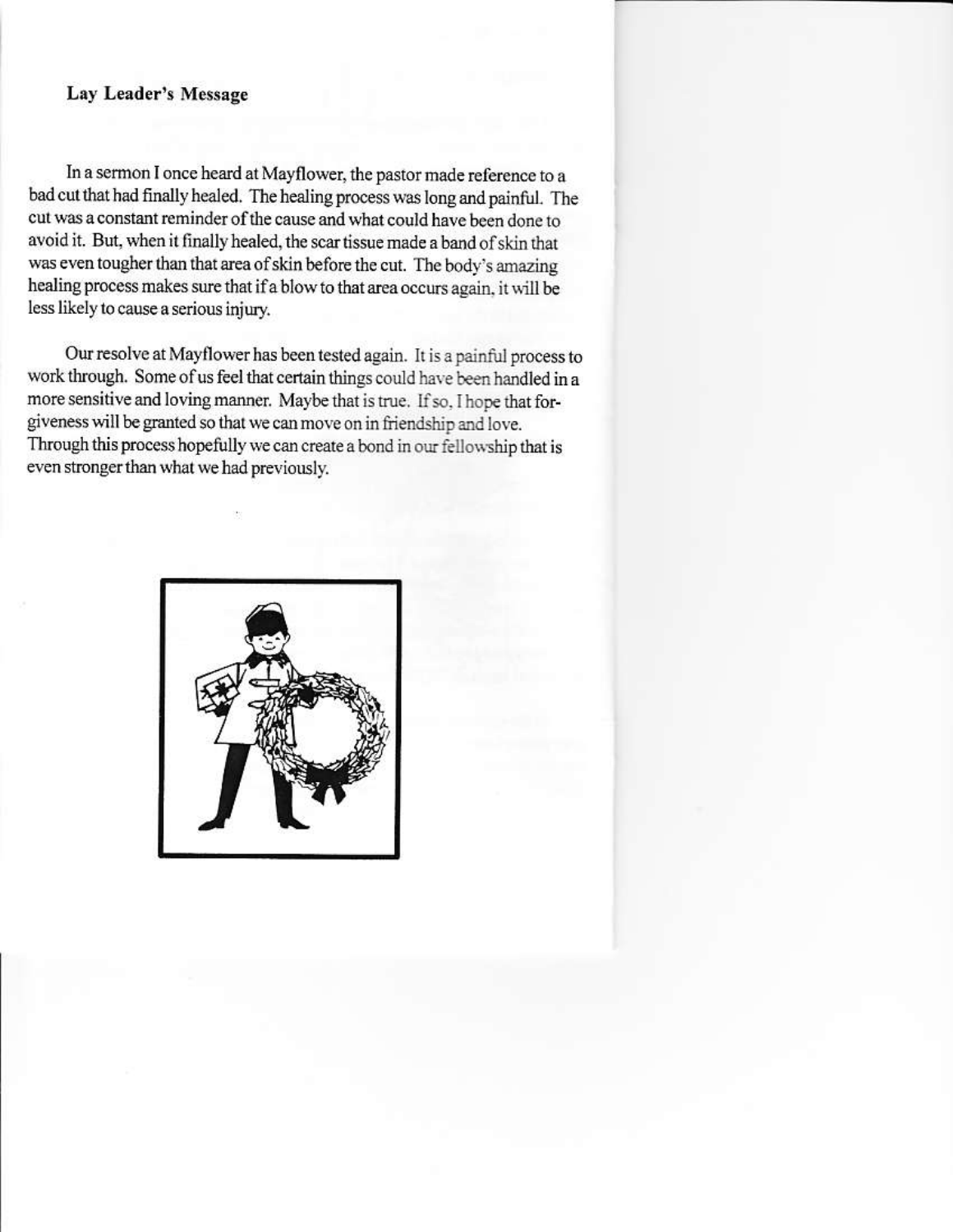#### Lay Leader's Message

In a sermon I once heard at Mayflower, the pastor made reference to a bad cut that had finally healed. The healing process was long and painful. The cut was a constant reminder of the cause and what could have been done to avoid it. But, when it finally healed, the scar tissue made a band of skin that was even tougher than that area of skin before the cut. The body's amazing healing process makes sure that if a blow to that area occurs again, it will be less likely to cause a serious injury.

Our resolve at Mayflower has been tested again. It is a painful process to work through. Some of us feel that certain things could have been handled in a more sensitive and loving manner. Maybe that is true. If so, I hope that forgiveness will be granted so that we can move on in friendship and love. Through this process hopefully we can create a bond in our fellowship that is even stronger than what we had previously.

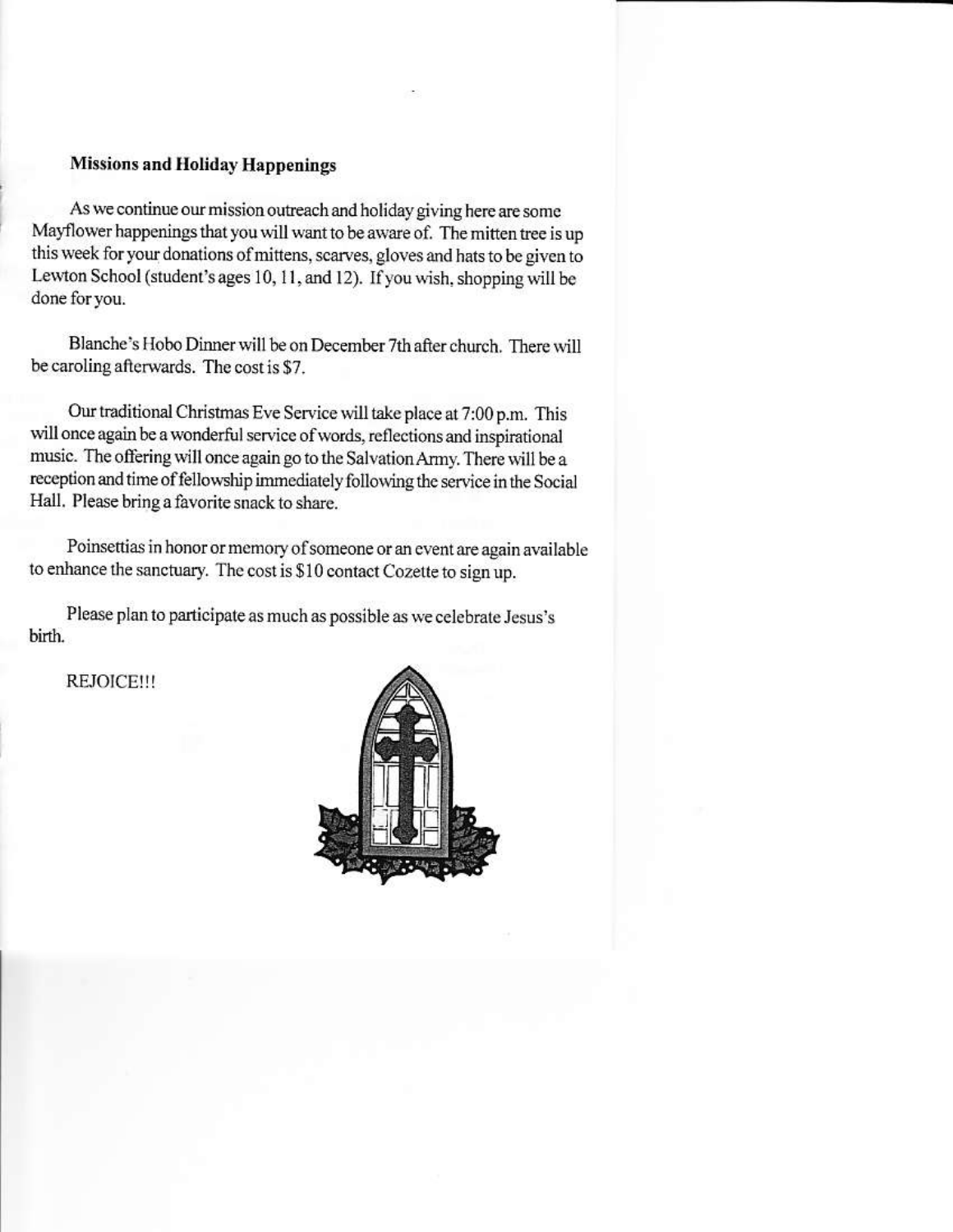## **Missions and Holiday Happenings**

As we continue our mission outreach and holiday giving here are some Mayflower happenings that you will want to be aware of. The mitten tree is up this week for your donations of mittens, scarves, gloves and hats to be given to Lewton School (student's ages 10, 11, and 12). If you wish, shopping will be done for you.

Blanche's Hobo Dinner will be on December 7th after church. There will be caroling afterwards. The cost is \$7.

Our traditional Christmas Eve Service will take place at 7:00 p.m. This will once again be a wonderful service of words, reflections and inspirational music. The offering will once again go to the Salvation Army. There will be a reception and time of fellowship immediately following the service in the Social Hall. Please bring a favorite snack to share.

Poinsettias in honor or memory of someone or an event are again available to enhance the sanctuary. The cost is \$10 contact Cozette to sign up.

Please plan to participate as much as possible as we celebrate Jesus's birth.

REJOICE!!!

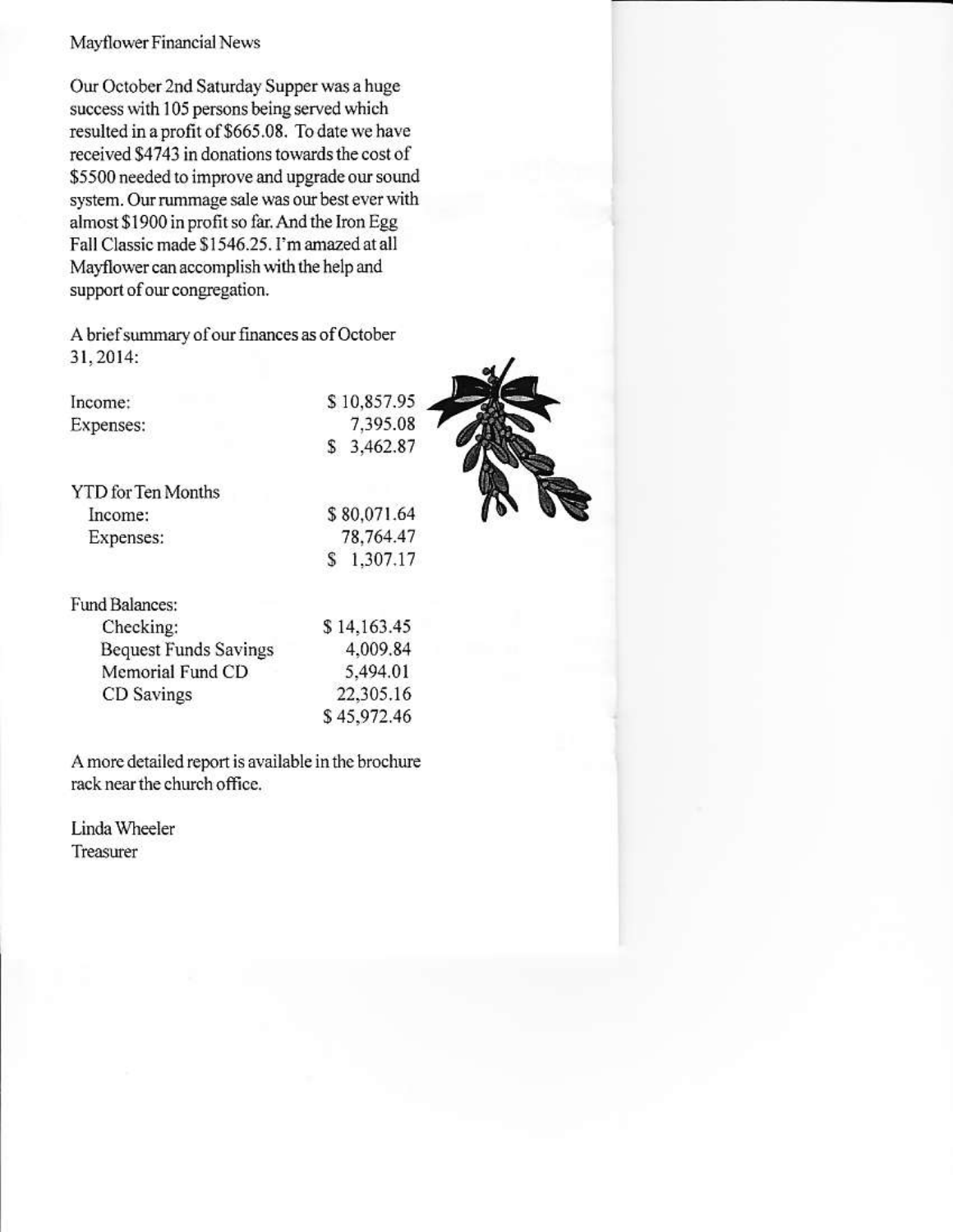#### Mayflower Financial News

Our October 2nd Saturday Supper was a huge success with 105 persons being served which resulted in a profit of \$665.08. To date we have received \$4743 in donations towards the cost of \$5500 needed to improve and upgrade our sound system. Our rummage sale was our best ever with almost \$1900 in profit so far. And the Iron Egg Fall Classic made \$1546.25. I'm amazed at all Mayflower can accomplish with the help and support of our congregation.

A brief summary of our finances as of October 31, 2014:

Income: Expenses:

**YTD** for Ten Months Income: Expenses:

\$10,857.95 7,395.08 \$ 3,462.87

\$80,071.64 78,764.47  $$1,307.17$ 

\$14,163.45

4,009.84

5,494.01

22,305.16 \$45,972.46

Fund Balances: Checking: **Bequest Funds Savings** Memorial Fund CD CD Savings

A more detailed report is available in the brochure rack near the church office.

Linda Wheeler Treasurer

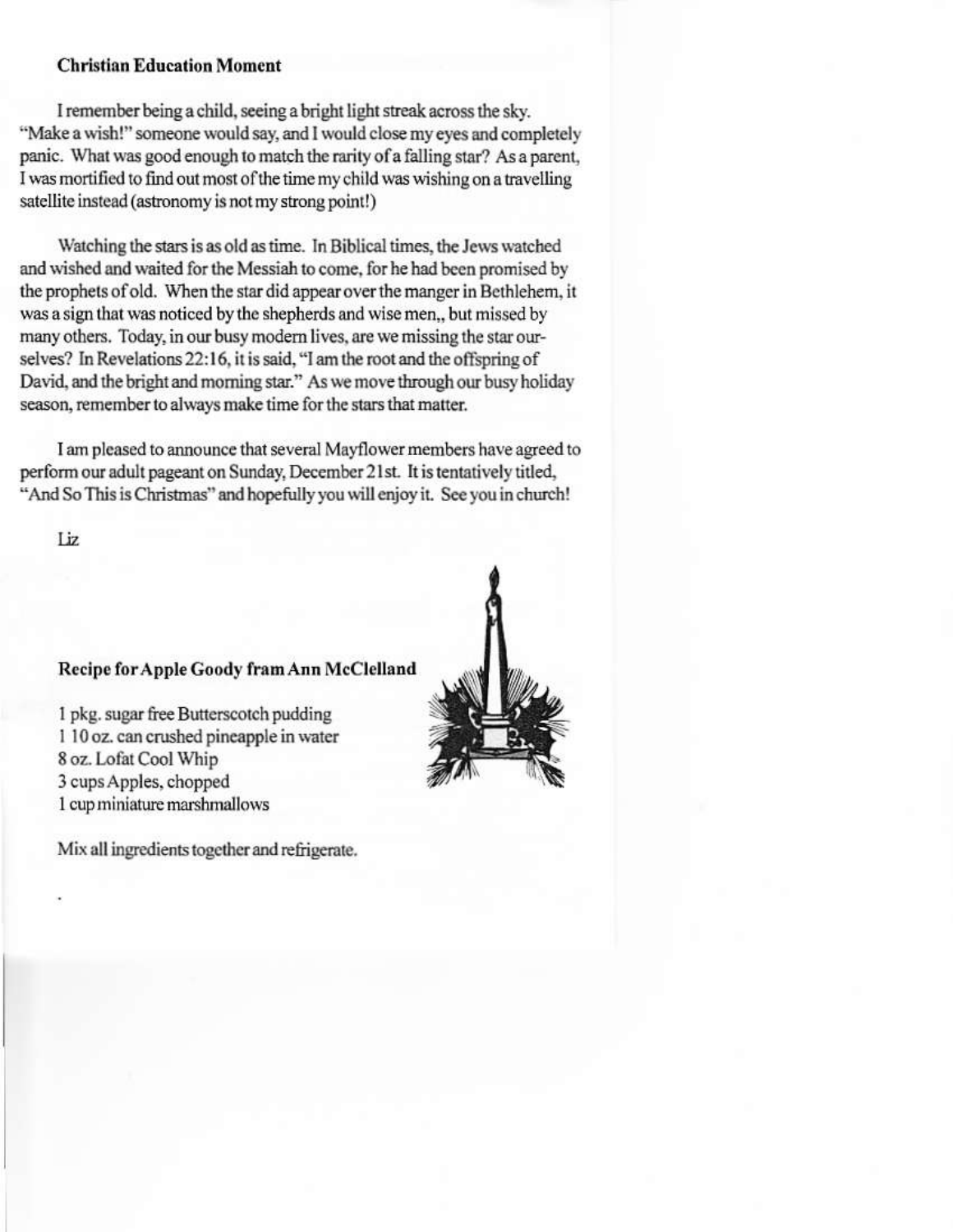### **Christian Education Moment**

I remember being a child, seeing a bright light streak across the sky. "Make a wish!" someone would say, and I would close my eyes and completely panic. What was good enough to match the rarity of a falling star? As a parent, I was mortified to find out most of the time my child was wishing on a travelling satellite instead (astronomy is not my strong point!)

Watching the stars is as old as time. In Biblical times, the Jews watched and wished and waited for the Messiah to come, for he had been promised by the prophets of old. When the star did appear over the manger in Bethlehem, it was a sign that was noticed by the shepherds and wise men., but missed by many others. Today, in our busy modern lives, are we missing the star ourselves? In Revelations 22:16, it is said, "I am the root and the offspring of David, and the bright and morning star." As we move through our busy holiday season, remember to always make time for the stars that matter.

I am pleased to announce that several Mayflower members have agreed to perform our adult pageant on Sunday, December 21st. It is tentatively titled, "And So This is Christmas" and hopefully you will enjoy it. See you in church!

Liz

#### Recipe for Apple Goody fram Ann McClelland

1 pkg. sugar free Butterscotch pudding 1 10 oz. can crushed pineapple in water 8 oz. Lofat Cool Whip 3 cups Apples, chopped 1 cup miniature marshmallows

Mix all ingredients together and refrigerate.

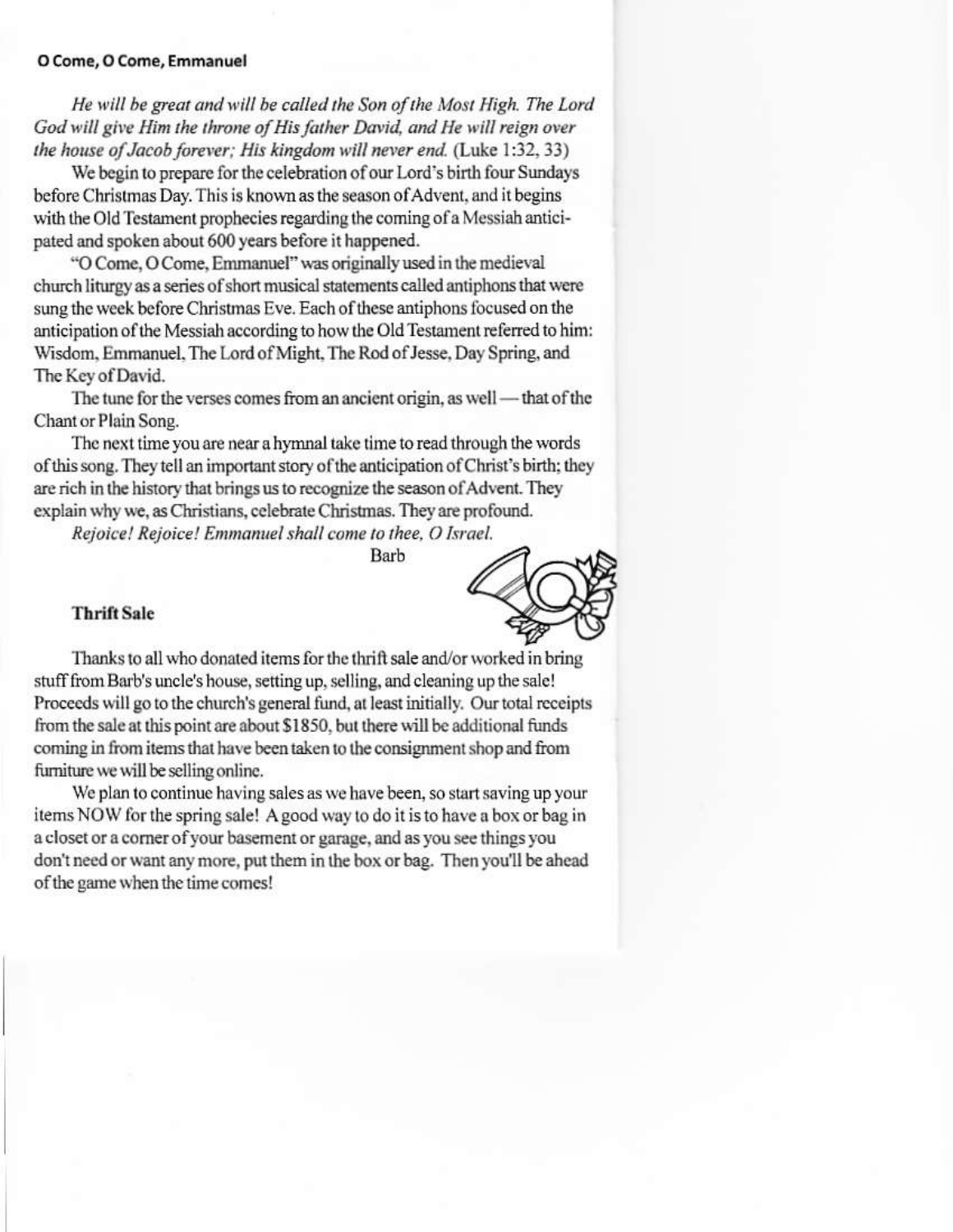#### O Come, O Come, Emmanuel

He will be great and will be called the Son of the Most High. The Lord God will give Him the throne of His father David, and He will reign over the house of Jacob forever; His kingdom will never end. (Luke 1:32, 33)

We begin to prepare for the celebration of our Lord's birth four Sundays before Christmas Day. This is known as the season of Advent, and it begins with the Old Testament prophecies regarding the coming of a Messiah anticipated and spoken about 600 years before it happened.

"O Come, O Come, Emmanuel" was originally used in the medieval church liturgy as a series of short musical statements called antiphons that were sung the week before Christmas Eve. Each of these antiphons focused on the anticipation of the Messiah according to how the Old Testament referred to him: Wisdom, Emmanuel, The Lord of Might, The Rod of Jesse, Day Spring, and The Key of David.

The tune for the verses comes from an ancient origin, as well - that of the Chant or Plain Song.

The next time you are near a hymnal take time to read through the words of this song. They tell an important story of the anticipation of Christ's birth; they are rich in the history that brings us to recognize the season of Advent. They explain why we, as Christians, celebrate Christmas. They are profound.

Rejoice! Rejoice! Emmanuel shall come to thee, O Israel.

**Barb** 

#### **Thrift Sale**



Thanks to all who donated items for the thrift sale and/or worked in bring stuff from Barb's uncle's house, setting up, selling, and cleaning up the sale! Proceeds will go to the church's general fund, at least initially. Our total receipts from the sale at this point are about \$1850, but there will be additional funds coming in from items that have been taken to the consignment shop and from furniture we will be selling online.

We plan to continue having sales as we have been, so start saving up your items NOW for the spring sale! A good way to do it is to have a box or bag in a closet or a corner of your basement or garage, and as you see things you don't need or want any more, put them in the box or bag. Then you'll be ahead of the game when the time comes!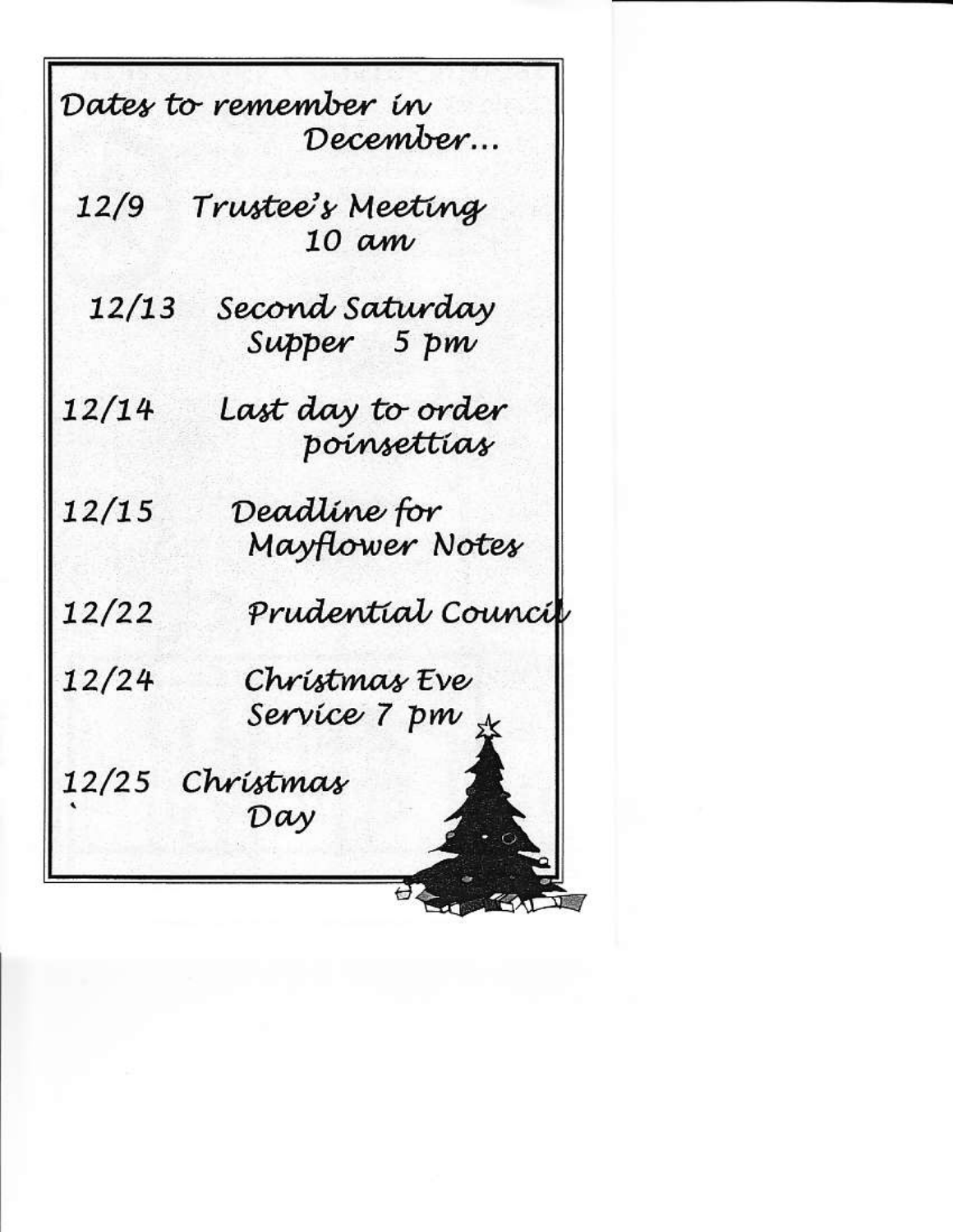|       | Dates to remember in              |
|-------|-----------------------------------|
|       | December                          |
| 12/9  |                                   |
|       | Trustee's Meeting<br>10 am        |
| 12/13 |                                   |
|       | Second Saturday<br>Supper    5 pm |
| 12/14 |                                   |
|       | Last day to order<br>poinsettias  |
| 12/15 |                                   |
|       | Deadline for<br>Mayflower Notes   |
| 12/22 | Prudential Council                |
| 12/24 | Christmas Eve                     |
|       | Servíce 7 pm <sub>s</sub> z       |
| 12/25 | Christmas                         |
|       | Day                               |
|       |                                   |
|       |                                   |